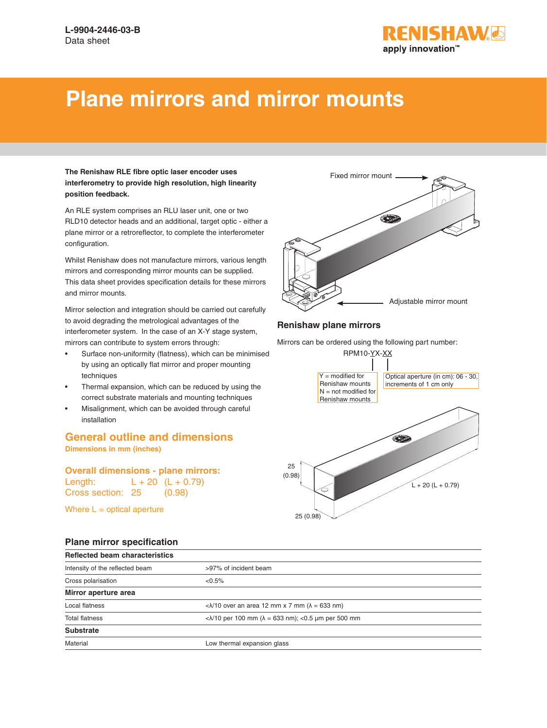

# **Plane mirrors and mirror mounts**

#### **The Renishaw RLE fibre optic laser encoder uses interferometry to provide high resolution, high linearity position feedback.**

An RLE system comprises an RLU laser unit, one or two RLD10 detector heads and an additional, target optic - either a plane mirror or a retroreflector, to complete the interferometer configuration.

Whilst Renishaw does not manufacture mirrors, various length mirrors and corresponding mirror mounts can be supplied. This data sheet provides specification details for these mirrors and mirror mounts.

Mirror selection and integration should be carried out carefully to avoid degrading the metrological advantages of the interferometer system. In the case of an X-Y stage system, mirrors can contribute to system errors through:

- Surface non-uniformity (flatness), which can be minimised by using an optically flat mirror and proper mounting techniques
- Thermal expansion, which can be reduced by using the correct substrate materials and mounting techniques
- Misalignment, which can be avoided through careful installation

# **General outline and dimensions**

**Dimensions in mm (inches)**

**Overall dimensions - plane mirrors:** Length:  $L + 20$   $(L + 0.79)$ Cross section: 25 (0.98)

Where  $L =$  optical aperture

## **Plane mirror specification**



### **Renishaw plane mirrors**

Mirrors can be ordered using the following part number:



| <b>Reflected beam characteristics</b> |                                                                                                           |
|---------------------------------------|-----------------------------------------------------------------------------------------------------------|
| Intensity of the reflected beam       | >97% of incident beam                                                                                     |
| Cross polarisation                    | $< 0.5\%$                                                                                                 |
| Mirror aperture area                  |                                                                                                           |
| Local flatness                        | $\langle \lambda/10 \text{ over an area } 12 \text{ mm } \times 7 \text{ mm } (\lambda = 633 \text{ nm})$ |
| <b>Total flatness</b>                 | < $\lambda$ /10 per 100 mm (λ = 633 nm); <0.5 μm per 500 mm                                               |
| <b>Substrate</b>                      |                                                                                                           |
| Material                              | Low thermal expansion glass                                                                               |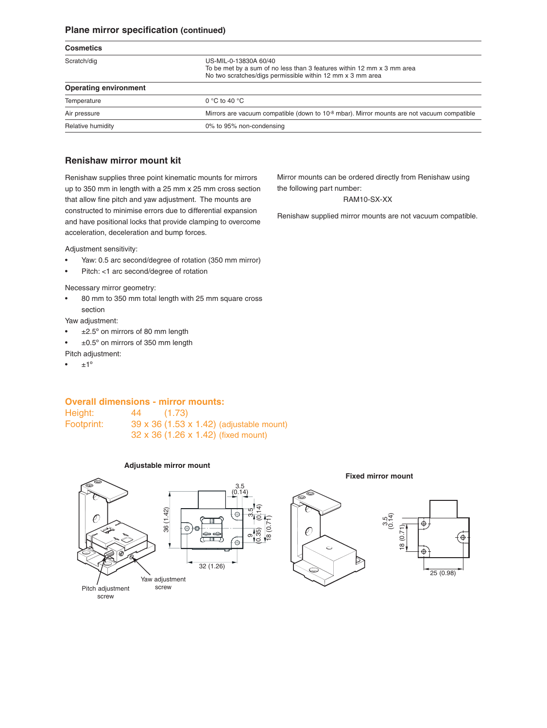#### **Plane mirror specification (continued)**

| <b>Cosmetics</b>             |                                                                                                                                                               |
|------------------------------|---------------------------------------------------------------------------------------------------------------------------------------------------------------|
| Scratch/dig                  | US-MIL-0-13830A 60/40<br>To be met by a sum of no less than 3 features within 12 mm x 3 mm area<br>No two scratches/digs permissible within 12 mm x 3 mm area |
| <b>Operating environment</b> |                                                                                                                                                               |
| Temperature                  | 0 °C to 40 °C                                                                                                                                                 |
| Air pressure                 | Mirrors are vacuum compatible (down to 10 <sup>-8</sup> mbar). Mirror mounts are not vacuum compatible                                                        |
| Relative humidity            | 0% to 95% non-condensing                                                                                                                                      |

#### **Renishaw mirror mount kit**

Renishaw supplies three point kinematic mounts for mirrors up to 350 mm in length with a 25 mm x 25 mm cross section that allow fine pitch and yaw adjustment. The mounts are constructed to minimise errors due to differential expansion and have positional locks that provide clamping to overcome acceleration, deceleration and bump forces.

Adjustment sensitivity:

- Yaw: 0.5 arc second/degree of rotation (350 mm mirror)
- Pitch: <1 arc second/degree of rotation

Necessary mirror geometry:

• 80 mm to 350 mm total length with 25 mm square cross section

Yaw adjustment:

- $\cdot$   $\pm$ 2.5° on mirrors of 80 mm length
- ±0.5º on mirrors of 350 mm length

Pitch adjustment:

 $±1<sup>°</sup>$ 

Mirror mounts can be ordered directly from Renishaw using the following part number:

#### RAM10-SX-XX

Renishaw supplied mirror mounts are not vacuum compatible.

**Overall dimensions - mirror mounts:** Height: 44 (1.73)

Footprint: 39 x 36 (1.53 x 1.42) (adjustable mount) 32 x 36 (1.26 x 1.42) (fixed mount)

#### **Adjustable mirror mount**

#### **Fixed mirror mount**

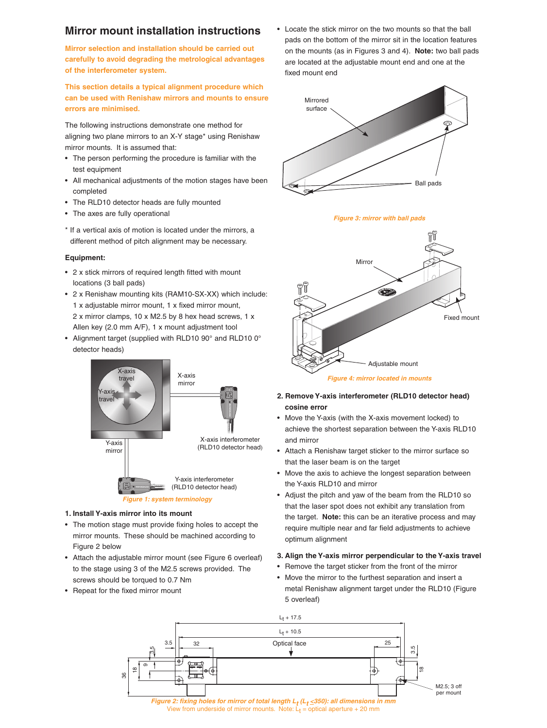# **Mirror mount installation instructions**

**Mirror selection and installation should be carried out carefully to avoid degrading the metrological advantages of the interferometer system.** 

**This section details a typical alignment procedure which can be used with Renishaw mirrors and mounts to ensure errors are minimised.**

The following instructions demonstrate one method for aligning two plane mirrors to an X-Y stage\* using Renishaw mirror mounts. It is assumed that:

- The person performing the procedure is familiar with the test equipment
- All mechanical adjustments of the motion stages have been completed
- The RLD10 detector heads are fully mounted
- The axes are fully operational
- \* If a vertical axis of motion is located under the mirrors, a different method of pitch alignment may be necessary.

#### **Equipment:**

- 2 x stick mirrors of required length fitted with mount locations (3 ball pads)
- 2 x Renishaw mounting kits (RAM10-SX-XX) which include: 1 x adjustable mirror mount, 1 x fixed mirror mount, 2 x mirror clamps, 10 x M2.5 by 8 hex head screws, 1 x Allen key (2.0 mm A/F), 1 x mount adjustment tool
- Alignment target (supplied with RLD10 90° and RLD10 0° detector heads)



#### **1. Install Y-axis mirror into its mount**

- The motion stage must provide fixing holes to accept the mirror mounts. These should be machined according to Figure 2 below
- Attach the adjustable mirror mount (see Figure 6 overleaf) to the stage using 3 of the M2.5 screws provided. The screws should be torqued to 0.7 Nm
- Repeat for the fixed mirror mount

• Locate the stick mirror on the two mounts so that the ball pads on the bottom of the mirror sit in the location features on the mounts (as in Figures 3 and 4). **Note:** two ball pads are located at the adjustable mount end and one at the fixed mount end



*Figure 3: mirror with ball pads*



- **2. Remove Y-axis interferometer (RLD10 detector head) cosine error**
- Move the Y-axis (with the X-axis movement locked) to achieve the shortest separation between the Y-axis RLD10 and mirror
- Attach a Renishaw target sticker to the mirror surface so that the laser beam is on the target
- Move the axis to achieve the longest separation between the Y-axis RLD10 and mirror
- Adjust the pitch and yaw of the beam from the RLD10 so that the laser spot does not exhibit any translation from the target. **Note:** this can be an iterative process and may require multiple near and far field adjustments to achieve optimum alignment

#### **3. Align the Y-axis mirror perpendicular to the Y-axis travel**

- Remove the target sticker from the front of the mirror
- Move the mirror to the furthest separation and insert a metal Renishaw alignment target under the RLD10 (Figure 5 overleaf)